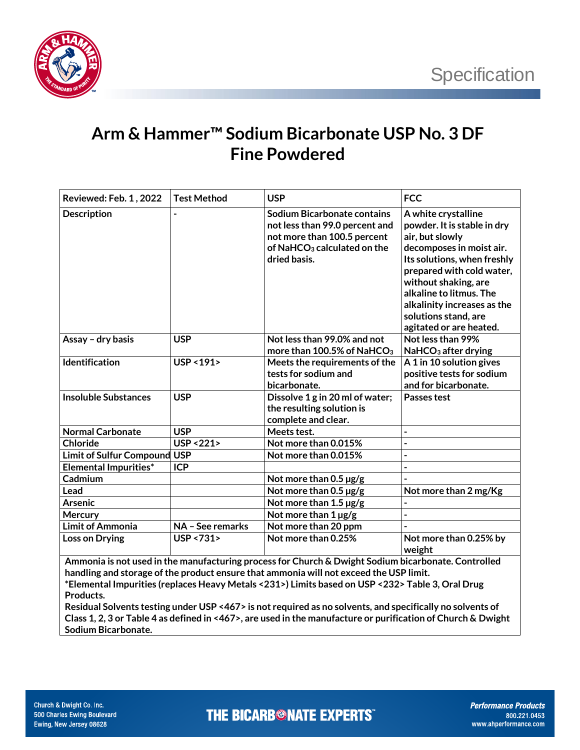

## **Arm & Hammer™ Sodium Bicarbonate USP No. 3 DF Fine Powdered**

| Reviewed: Feb. 1, 2022                                                                              | <b>Test Method</b>     | <b>USP</b>                              | <b>FCC</b>                                      |  |  |
|-----------------------------------------------------------------------------------------------------|------------------------|-----------------------------------------|-------------------------------------------------|--|--|
|                                                                                                     |                        |                                         |                                                 |  |  |
| <b>Description</b>                                                                                  |                        | <b>Sodium Bicarbonate contains</b>      | A white crystalline                             |  |  |
|                                                                                                     |                        | not less than 99.0 percent and          | powder. It is stable in dry                     |  |  |
|                                                                                                     |                        | not more than 100.5 percent             | air, but slowly                                 |  |  |
|                                                                                                     |                        | of NaHCO <sub>3</sub> calculated on the | decomposes in moist air.                        |  |  |
|                                                                                                     |                        | dried basis.                            | Its solutions, when freshly                     |  |  |
|                                                                                                     |                        |                                         | prepared with cold water,                       |  |  |
|                                                                                                     |                        |                                         | without shaking, are<br>alkaline to litmus. The |  |  |
|                                                                                                     |                        |                                         | alkalinity increases as the                     |  |  |
|                                                                                                     |                        |                                         | solutions stand, are                            |  |  |
|                                                                                                     |                        |                                         | agitated or are heated.                         |  |  |
| Assay - dry basis                                                                                   | <b>USP</b>             | Not less than 99.0% and not             | Not less than 99%                               |  |  |
|                                                                                                     |                        | more than 100.5% of NaHCO <sub>3</sub>  | NaHCO <sub>3</sub> after drying                 |  |  |
| Identification                                                                                      | USP < 191>             | Meets the requirements of the           | A 1 in 10 solution gives                        |  |  |
|                                                                                                     |                        | tests for sodium and                    | positive tests for sodium                       |  |  |
|                                                                                                     |                        | bicarbonate.                            | and for bicarbonate.                            |  |  |
| <b>Insoluble Substances</b>                                                                         | <b>USP</b>             | Dissolve 1 g in 20 ml of water;         | Passes test                                     |  |  |
|                                                                                                     |                        | the resulting solution is               |                                                 |  |  |
|                                                                                                     |                        | complete and clear.                     |                                                 |  |  |
| <b>Normal Carbonate</b>                                                                             | <b>USP</b>             | Meets test.                             | $\overline{\phantom{a}}$                        |  |  |
| <b>Chloride</b>                                                                                     | <b>USP &lt;221&gt;</b> | Not more than 0.015%                    | $\overline{a}$                                  |  |  |
| <b>Limit of Sulfur Compound</b>                                                                     | <b>USP</b>             | Not more than 0.015%                    | $\overline{\phantom{a}}$                        |  |  |
| <b>Elemental Impurities*</b>                                                                        | <b>ICP</b>             |                                         |                                                 |  |  |
| Cadmium                                                                                             |                        | Not more than $0.5 \,\mathrm{\mu g/g}$  |                                                 |  |  |
| Lead                                                                                                |                        | Not more than $0.5 \,\mu g/g$           | Not more than 2 mg/Kg                           |  |  |
| <b>Arsenic</b>                                                                                      |                        | Not more than 1.5 µg/g                  | $\overline{a}$                                  |  |  |
| Mercury                                                                                             |                        | Not more than $1 \mu g/g$               | $\overline{a}$                                  |  |  |
| <b>Limit of Ammonia</b>                                                                             | NA - See remarks       | Not more than 20 ppm                    |                                                 |  |  |
| Loss on Drying                                                                                      | USP <731>              | Not more than 0.25%                     | Not more than 0.25% by                          |  |  |
|                                                                                                     |                        |                                         | weight                                          |  |  |
| Ammonia is not used in the manufacturing process for Church & Dwight Sodium bicarbonate. Controlled |                        |                                         |                                                 |  |  |
| handling and storage of the product ensure that ammonia will not exceed the USP limit.              |                        |                                         |                                                 |  |  |

**\*Elemental Impurities (replaces Heavy Metals <231>) Limits based on USP <232> Table 3, Oral Drug Products.** 

**Residual Solvents testing under USP <467> is not required as no solvents, and specifically no solvents of Class 1, 2, 3 or Table 4 as defined in <467>, are used in the manufacture or purification of Church & Dwight Sodium Bicarbonate.**